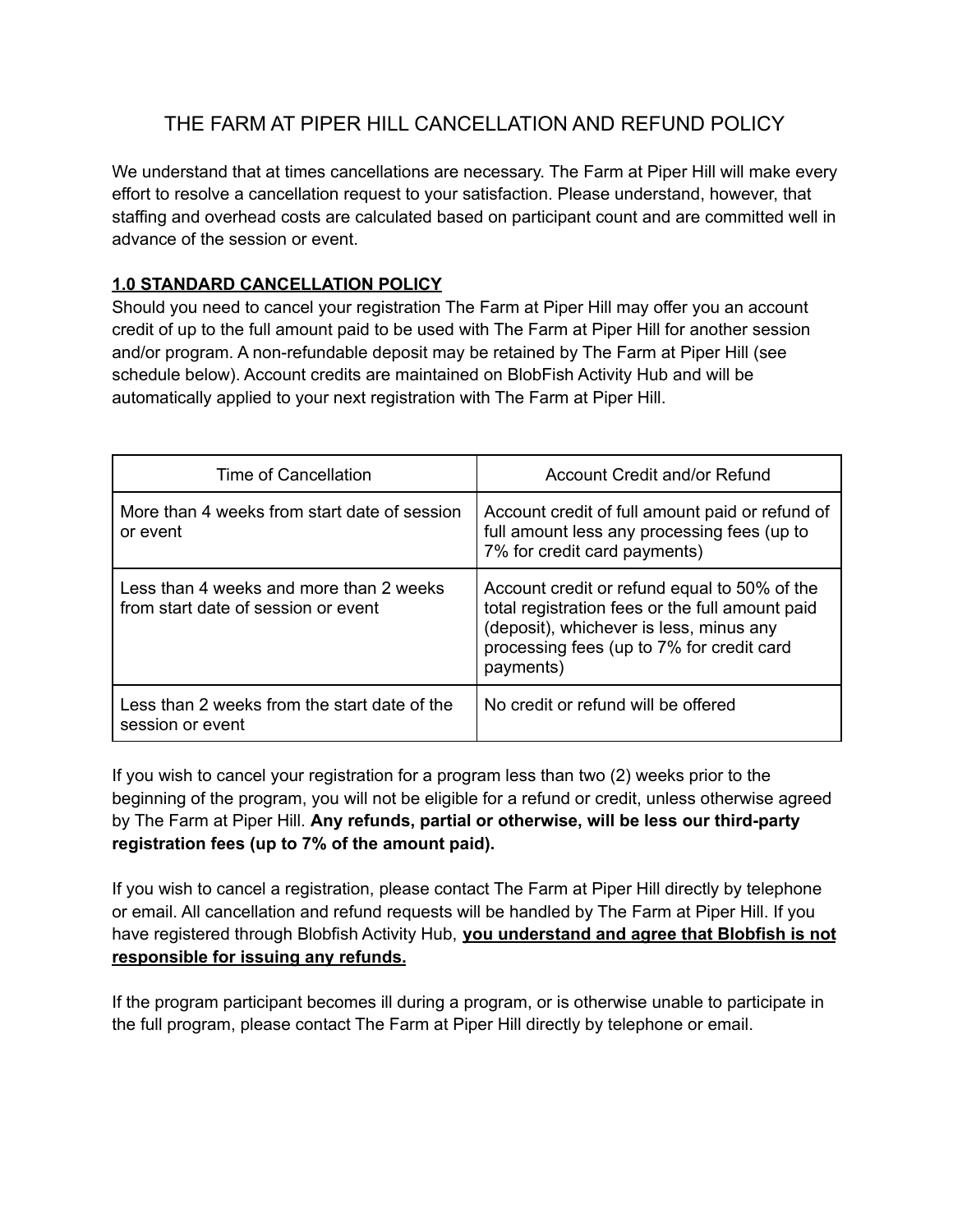## THE FARM AT PIPER HILL CANCELLATION AND REFUND POLICY

We understand that at times cancellations are necessary. The Farm at Piper Hill will make every effort to resolve a cancellation request to your satisfaction. Please understand, however, that staffing and overhead costs are calculated based on participant count and are committed well in advance of the session or event.

## **1.0 STANDARD CANCELLATION POLICY**

Should you need to cancel your registration The Farm at Piper Hill may offer you an account credit of up to the full amount paid to be used with The Farm at Piper Hill for another session and/or program. A non-refundable deposit may be retained by The Farm at Piper Hill (see schedule below). Account credits are maintained on BlobFish Activity Hub and will be automatically applied to your next registration with The Farm at Piper Hill.

| Time of Cancellation                                                           | Account Credit and/or Refund                                                                                                                                                                         |
|--------------------------------------------------------------------------------|------------------------------------------------------------------------------------------------------------------------------------------------------------------------------------------------------|
| More than 4 weeks from start date of session<br>or event                       | Account credit of full amount paid or refund of<br>full amount less any processing fees (up to<br>7% for credit card payments)                                                                       |
| Less than 4 weeks and more than 2 weeks<br>from start date of session or event | Account credit or refund equal to 50% of the<br>total registration fees or the full amount paid<br>(deposit), whichever is less, minus any<br>processing fees (up to 7% for credit card<br>payments) |
| Less than 2 weeks from the start date of the<br>session or event               | No credit or refund will be offered                                                                                                                                                                  |

If you wish to cancel your registration for a program less than two (2) weeks prior to the beginning of the program, you will not be eligible for a refund or credit, unless otherwise agreed by The Farm at Piper Hill. **Any refunds, partial or otherwise, will be less our third-party registration fees (up to 7% of the amount paid).**

If you wish to cancel a registration, please contact The Farm at Piper Hill directly by telephone or email. All cancellation and refund requests will be handled by The Farm at Piper Hill. If you have registered through Blobfish Activity Hub, **you understand and agree that Blobfish is not responsible for issuing any refunds.**

If the program participant becomes ill during a program, or is otherwise unable to participate in the full program, please contact The Farm at Piper Hill directly by telephone or email.